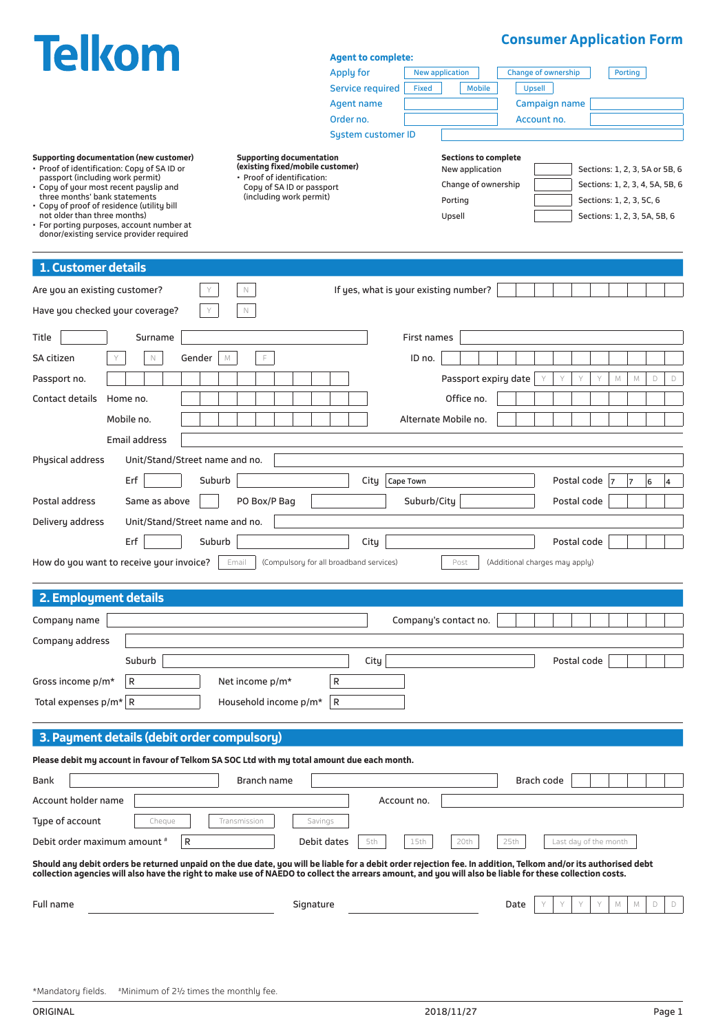| <b>Telkom</b>                                                                                                                                                                                                                                                                                                              |                                                                |                                               |                    |                             |      | <b>Consumer Application Form</b> |             |                                                          |                       |
|----------------------------------------------------------------------------------------------------------------------------------------------------------------------------------------------------------------------------------------------------------------------------------------------------------------------------|----------------------------------------------------------------|-----------------------------------------------|--------------------|-----------------------------|------|----------------------------------|-------------|----------------------------------------------------------|-----------------------|
|                                                                                                                                                                                                                                                                                                                            |                                                                | <b>Agent to complete:</b><br><b>Apply for</b> |                    | <b>New application</b>      |      | <b>Change of ownership</b>       |             | <b>Porting</b>                                           |                       |
|                                                                                                                                                                                                                                                                                                                            |                                                                | <b>Service required</b>                       | <b>Fixed</b>       | <b>Mobile</b>               |      | <b>Upsell</b>                    |             |                                                          |                       |
|                                                                                                                                                                                                                                                                                                                            |                                                                | <b>Agent name</b>                             |                    |                             |      | Campaign name                    |             |                                                          |                       |
|                                                                                                                                                                                                                                                                                                                            |                                                                | Order no.                                     |                    |                             |      | Account no.                      |             |                                                          |                       |
|                                                                                                                                                                                                                                                                                                                            |                                                                | <b>System customer ID</b>                     |                    |                             |      |                                  |             |                                                          |                       |
| <b>Supporting documentation (new customer)</b>                                                                                                                                                                                                                                                                             | <b>Supporting documentation</b>                                |                                               |                    | <b>Sections to complete</b> |      |                                  |             |                                                          |                       |
| • Proof of identification: Copy of SA ID or<br>passport (including work permit)                                                                                                                                                                                                                                            | (existing fixed/mobile customer)<br>· Proof of identification: |                                               |                    | New application             |      |                                  |             | Sections: 1, 2, 3, 5A or 5B, 6                           |                       |
| . Copy of your most recent payslip and<br>three months' bank statements                                                                                                                                                                                                                                                    | Copy of SA ID or passport<br>(including work permit)           |                                               |                    | Change of ownership         |      |                                  |             | Sections: 1, 2, 3, 4, 5A, 5B, 6                          |                       |
| • Copy of proof of residence (utility bill<br>not older than three months)                                                                                                                                                                                                                                                 |                                                                |                                               |                    | Porting<br>Upsell           |      |                                  |             | Sections: 1, 2, 3, 5C, 6<br>Sections: 1, 2, 3, 5A, 5B, 6 |                       |
| • For porting purposes, account number at<br>donor/existing service provider required                                                                                                                                                                                                                                      |                                                                |                                               |                    |                             |      |                                  |             |                                                          |                       |
|                                                                                                                                                                                                                                                                                                                            |                                                                |                                               |                    |                             |      |                                  |             |                                                          |                       |
| 1. Customer details                                                                                                                                                                                                                                                                                                        |                                                                |                                               |                    |                             |      |                                  |             |                                                          |                       |
| Are you an existing customer?                                                                                                                                                                                                                                                                                              | $\mathbb N$                                                    | If yes, what is your existing number?         |                    |                             |      |                                  |             |                                                          |                       |
| Have you checked your coverage?                                                                                                                                                                                                                                                                                            | $\mathbb N$                                                    |                                               |                    |                             |      |                                  |             |                                                          |                       |
|                                                                                                                                                                                                                                                                                                                            |                                                                |                                               |                    |                             |      |                                  |             |                                                          |                       |
| Title<br>Surname                                                                                                                                                                                                                                                                                                           |                                                                |                                               | <b>First names</b> |                             |      |                                  |             |                                                          |                       |
| SA citizen<br>$\mathbb N$<br>Gender<br>$\mathbb M$<br>Y                                                                                                                                                                                                                                                                    | F                                                              |                                               | ID no.             |                             |      |                                  |             |                                                          |                       |
| Passport no.                                                                                                                                                                                                                                                                                                               |                                                                |                                               |                    | Passport expiry date        |      |                                  | $\mathbb M$ | $\mathbb M$                                              | $\Box$<br>$\mathsf D$ |
| Contact details<br>Home no.                                                                                                                                                                                                                                                                                                |                                                                |                                               |                    | Office no.                  |      |                                  |             |                                                          |                       |
| Mobile no.                                                                                                                                                                                                                                                                                                                 |                                                                |                                               |                    | Alternate Mobile no.        |      |                                  |             |                                                          |                       |
| Email address                                                                                                                                                                                                                                                                                                              |                                                                |                                               |                    |                             |      |                                  |             |                                                          |                       |
| Physical address<br>Unit/Stand/Street name and no.                                                                                                                                                                                                                                                                         |                                                                |                                               |                    |                             |      |                                  |             |                                                          |                       |
| Erf<br>Suburb                                                                                                                                                                                                                                                                                                              |                                                                | City                                          | Cape Town          |                             |      | Postal code                      |             | 6<br>7                                                   | 4                     |
| Postal address<br>Same as above                                                                                                                                                                                                                                                                                            | PO Box/P Bag                                                   |                                               | Suburb/City        |                             |      | Postal code                      |             |                                                          |                       |
| Delivery address<br>Unit/Stand/Street name and no.                                                                                                                                                                                                                                                                         |                                                                |                                               |                    |                             |      |                                  |             |                                                          |                       |
| Erf<br>Suburb                                                                                                                                                                                                                                                                                                              |                                                                | City                                          |                    |                             |      | Postal code                      |             |                                                          |                       |
|                                                                                                                                                                                                                                                                                                                            |                                                                |                                               |                    |                             |      |                                  |             |                                                          |                       |
| How do you want to receive your invoice?<br>Email                                                                                                                                                                                                                                                                          | (Compulsory for all broadband services)                        |                                               |                    | Post                        |      | (Additional charges may apply)   |             |                                                          |                       |
| 2. Employment details                                                                                                                                                                                                                                                                                                      |                                                                |                                               |                    |                             |      |                                  |             |                                                          |                       |
| Company name                                                                                                                                                                                                                                                                                                               |                                                                |                                               |                    | Company's contact no.       |      |                                  |             |                                                          |                       |
| Company address                                                                                                                                                                                                                                                                                                            |                                                                |                                               |                    |                             |      |                                  |             |                                                          |                       |
| Suburb                                                                                                                                                                                                                                                                                                                     |                                                                | City                                          |                    |                             |      | Postal code                      |             |                                                          |                       |
| R                                                                                                                                                                                                                                                                                                                          | R                                                              |                                               |                    |                             |      |                                  |             |                                                          |                       |
| Gross income p/m*                                                                                                                                                                                                                                                                                                          | Net income p/m*                                                |                                               |                    |                             |      |                                  |             |                                                          |                       |
| Total expenses $p/m^*$ R                                                                                                                                                                                                                                                                                                   | R<br>Household income p/m*                                     |                                               |                    |                             |      |                                  |             |                                                          |                       |
| 3. Payment details (debit order compulsory)                                                                                                                                                                                                                                                                                |                                                                |                                               |                    |                             |      |                                  |             |                                                          |                       |
| Please debit my account in favour of Telkom SA SOC Ltd with my total amount due each month.                                                                                                                                                                                                                                |                                                                |                                               |                    |                             |      |                                  |             |                                                          |                       |
| Bank                                                                                                                                                                                                                                                                                                                       | Branch name                                                    |                                               |                    |                             |      | Brach code                       |             |                                                          |                       |
| Account holder name                                                                                                                                                                                                                                                                                                        |                                                                |                                               | Account no.        |                             |      |                                  |             |                                                          |                       |
| Type of account<br>Cheque<br>Transmission                                                                                                                                                                                                                                                                                  | Savings                                                        |                                               |                    |                             |      |                                  |             |                                                          |                       |
| $\mathsf{R}$<br>Debit order maximum amount #                                                                                                                                                                                                                                                                               | Debit dates                                                    | 5th                                           | 15th               | 20th                        | 25th | Last day of the month            |             |                                                          |                       |
|                                                                                                                                                                                                                                                                                                                            |                                                                |                                               |                    |                             |      |                                  |             |                                                          |                       |
| Should any debit orders be returned unpaid on the due date, you will be liable for a debit order rejection fee. In addition, Telkom and/or its authorised debt<br>collection agencies will also have the right to make use of NAEDO to collect the arrears amount, and you will also be liable for these collection costs. |                                                                |                                               |                    |                             |      |                                  |             |                                                          |                       |
| Full name                                                                                                                                                                                                                                                                                                                  | Signature                                                      |                                               |                    |                             | Date |                                  | M           | M                                                        | D<br>D                |
|                                                                                                                                                                                                                                                                                                                            |                                                                |                                               |                    |                             |      |                                  |             |                                                          |                       |
|                                                                                                                                                                                                                                                                                                                            |                                                                |                                               |                    |                             |      |                                  |             |                                                          |                       |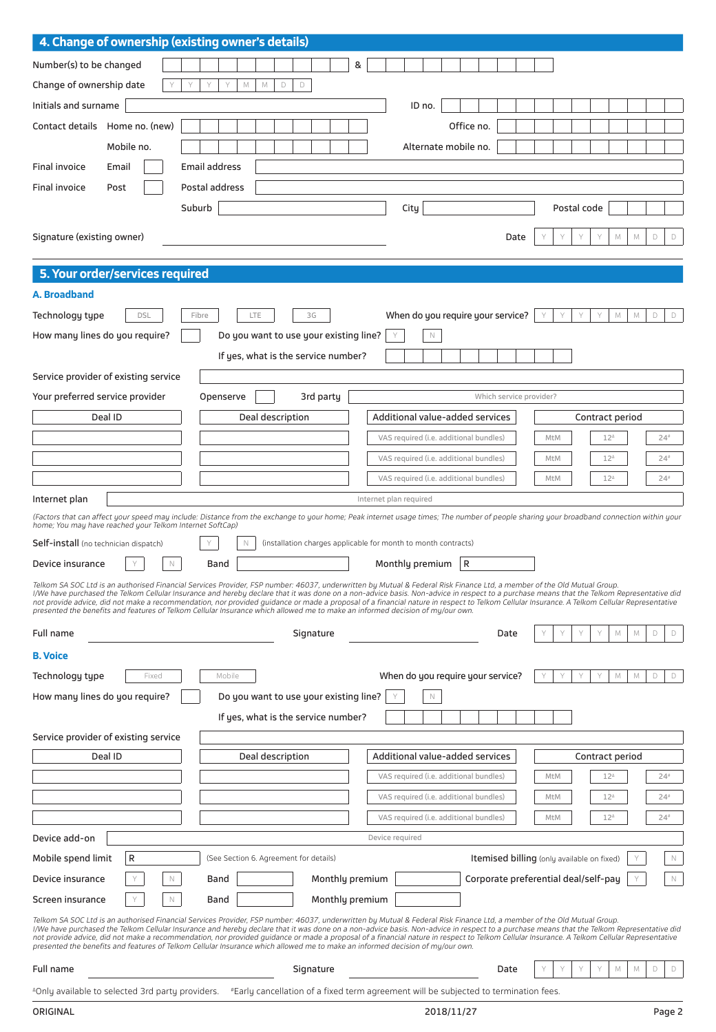| 4. Change of ownership (existing owner's details)                                                                                                                                                                                                                                                                                                                                                                                                                                                                                                                                                                                                                                                    |                     |                      |                                                                                      |                                                                |   |                        |                                        |            |                                            |      |     |             |                 |                            |             |             |
|------------------------------------------------------------------------------------------------------------------------------------------------------------------------------------------------------------------------------------------------------------------------------------------------------------------------------------------------------------------------------------------------------------------------------------------------------------------------------------------------------------------------------------------------------------------------------------------------------------------------------------------------------------------------------------------------------|---------------------|----------------------|--------------------------------------------------------------------------------------|----------------------------------------------------------------|---|------------------------|----------------------------------------|------------|--------------------------------------------|------|-----|-------------|-----------------|----------------------------|-------------|-------------|
| Number(s) to be changed                                                                                                                                                                                                                                                                                                                                                                                                                                                                                                                                                                                                                                                                              |                     |                      |                                                                                      |                                                                | 8 |                        |                                        |            |                                            |      |     |             |                 |                            |             |             |
| Change of ownership date                                                                                                                                                                                                                                                                                                                                                                                                                                                                                                                                                                                                                                                                             | Y<br>Y              | Y<br>Y               | $\Box$<br>$\mathbb M$<br>$\mathbb M$                                                 | D                                                              |   |                        |                                        |            |                                            |      |     |             |                 |                            |             |             |
| Initials and surname                                                                                                                                                                                                                                                                                                                                                                                                                                                                                                                                                                                                                                                                                 |                     |                      |                                                                                      |                                                                |   |                        | ID no.                                 |            |                                            |      |     |             |                 |                            |             |             |
| Contact details Home no. (new)                                                                                                                                                                                                                                                                                                                                                                                                                                                                                                                                                                                                                                                                       |                     |                      |                                                                                      |                                                                |   |                        |                                        | Office no. |                                            |      |     |             |                 |                            |             |             |
| Mobile no.                                                                                                                                                                                                                                                                                                                                                                                                                                                                                                                                                                                                                                                                                           |                     |                      |                                                                                      |                                                                |   |                        | Alternate mobile no.                   |            |                                            |      |     |             |                 |                            |             |             |
| Final invoice<br>Email                                                                                                                                                                                                                                                                                                                                                                                                                                                                                                                                                                                                                                                                               |                     | <b>Email address</b> |                                                                                      |                                                                |   |                        |                                        |            |                                            |      |     |             |                 |                            |             |             |
| Final invoice<br>Post                                                                                                                                                                                                                                                                                                                                                                                                                                                                                                                                                                                                                                                                                |                     | Postal address       |                                                                                      |                                                                |   |                        |                                        |            |                                            |      |     |             |                 |                            |             |             |
|                                                                                                                                                                                                                                                                                                                                                                                                                                                                                                                                                                                                                                                                                                      | Suburb              |                      |                                                                                      |                                                                |   | City                   |                                        |            |                                            |      |     | Postal code |                 |                            |             |             |
|                                                                                                                                                                                                                                                                                                                                                                                                                                                                                                                                                                                                                                                                                                      |                     |                      |                                                                                      |                                                                |   |                        |                                        |            |                                            |      |     |             |                 |                            |             |             |
| Signature (existing owner)                                                                                                                                                                                                                                                                                                                                                                                                                                                                                                                                                                                                                                                                           |                     |                      |                                                                                      |                                                                |   |                        |                                        |            |                                            | Date |     | Υ           |                 | M<br>M                     | D           | $\Box$      |
|                                                                                                                                                                                                                                                                                                                                                                                                                                                                                                                                                                                                                                                                                                      |                     |                      |                                                                                      |                                                                |   |                        |                                        |            |                                            |      |     |             |                 |                            |             |             |
| 5. Your order/services required                                                                                                                                                                                                                                                                                                                                                                                                                                                                                                                                                                                                                                                                      |                     |                      |                                                                                      |                                                                |   |                        |                                        |            |                                            |      |     |             |                 |                            |             |             |
| A. Broadband                                                                                                                                                                                                                                                                                                                                                                                                                                                                                                                                                                                                                                                                                         |                     |                      |                                                                                      |                                                                |   |                        |                                        |            |                                            |      |     |             |                 |                            |             |             |
| Technology type                                                                                                                                                                                                                                                                                                                                                                                                                                                                                                                                                                                                                                                                                      | <b>DSL</b><br>Fibre |                      | <b>LTE</b>                                                                           | 3G                                                             |   |                        | When do you require your service?      |            |                                            |      | Y   | Y           |                 | M<br>M                     | $\mathsf D$ | $\Box$      |
| How many lines do you require?                                                                                                                                                                                                                                                                                                                                                                                                                                                                                                                                                                                                                                                                       |                     |                      | Do you want to use your existing line?                                               |                                                                |   |                        | N                                      |            |                                            |      |     |             |                 |                            |             |             |
|                                                                                                                                                                                                                                                                                                                                                                                                                                                                                                                                                                                                                                                                                                      |                     |                      | If yes, what is the service number?                                                  |                                                                |   |                        |                                        |            |                                            |      |     |             |                 |                            |             |             |
| Service provider of existing service                                                                                                                                                                                                                                                                                                                                                                                                                                                                                                                                                                                                                                                                 |                     |                      |                                                                                      |                                                                |   |                        |                                        |            |                                            |      |     |             |                 |                            |             |             |
| Your preferred service provider                                                                                                                                                                                                                                                                                                                                                                                                                                                                                                                                                                                                                                                                      |                     | Openserve            |                                                                                      | 3rd party                                                      |   |                        |                                        |            | Which service provider?                    |      |     |             |                 |                            |             |             |
| Deal ID                                                                                                                                                                                                                                                                                                                                                                                                                                                                                                                                                                                                                                                                                              |                     |                      | Deal description                                                                     |                                                                |   |                        | <b>Additional value-added services</b> |            |                                            |      |     |             | Contract period |                            |             |             |
|                                                                                                                                                                                                                                                                                                                                                                                                                                                                                                                                                                                                                                                                                                      |                     |                      |                                                                                      |                                                                |   |                        | VAS required (i.e. additional bundles) |            |                                            |      | MtM |             | $12^4$          |                            |             | $24*$       |
|                                                                                                                                                                                                                                                                                                                                                                                                                                                                                                                                                                                                                                                                                                      |                     |                      |                                                                                      |                                                                |   |                        | VAS required (i.e. additional bundles) |            |                                            |      | MtM |             | $12^4$          |                            |             | $24*$       |
|                                                                                                                                                                                                                                                                                                                                                                                                                                                                                                                                                                                                                                                                                                      |                     |                      |                                                                                      |                                                                |   |                        | VAS required (i.e. additional bundles) |            |                                            |      | MtM |             | $12^{\Delta}$   |                            |             | $24*$       |
| Internet plan                                                                                                                                                                                                                                                                                                                                                                                                                                                                                                                                                                                                                                                                                        |                     |                      |                                                                                      |                                                                |   | Internet plan required |                                        |            |                                            |      |     |             |                 |                            |             |             |
| (Factors that can affect your speed may include: Distance from the exchange to your home; Peak internet usage times; The number of people sharing your broadband connection within your                                                                                                                                                                                                                                                                                                                                                                                                                                                                                                              |                     |                      |                                                                                      |                                                                |   |                        |                                        |            |                                            |      |     |             |                 |                            |             |             |
| home; You may have reached your Telkom Internet SoftCap)                                                                                                                                                                                                                                                                                                                                                                                                                                                                                                                                                                                                                                             |                     | Y                    |                                                                                      |                                                                |   |                        |                                        |            |                                            |      |     |             |                 |                            |             |             |
| Self-install (no technician dispatch)                                                                                                                                                                                                                                                                                                                                                                                                                                                                                                                                                                                                                                                                |                     |                      | N                                                                                    | (installation charges applicable for month to month contracts) |   |                        |                                        |            |                                            |      |     |             |                 |                            |             |             |
| Device insurance<br>Y                                                                                                                                                                                                                                                                                                                                                                                                                                                                                                                                                                                                                                                                                | N                   | Band                 |                                                                                      |                                                                |   |                        | Monthly premium                        | R          |                                            |      |     |             |                 |                            |             |             |
| Telkom SA SOC Ltd is an authorised Financial Services Provider, FSP number: 46037, underwritten by Mutual & Federal Risk Finance Ltd, a member of the Old Mutual Group.<br>I/We have purchased the Telkom Cellular Insurance and hereby declare that it was done on a non-advice basis. Non-advice in respect to a purchase means that the Telkom Representative did<br>not provide advice, did not make a recommendation, nor provided quidance or made a proposal of a financial nature in respect to Telkom Cellular Insurance. A Telkom Cellular Representative                                                                                                                                  |                     |                      |                                                                                      |                                                                |   |                        |                                        |            |                                            |      |     |             |                 |                            |             |             |
| presented the benefits and features of Telkom Cellular Insurance which allowed me to make an informed decision of my/our own.                                                                                                                                                                                                                                                                                                                                                                                                                                                                                                                                                                        |                     |                      |                                                                                      |                                                                |   |                        |                                        |            |                                            |      |     |             |                 |                            |             |             |
| Full name                                                                                                                                                                                                                                                                                                                                                                                                                                                                                                                                                                                                                                                                                            |                     |                      |                                                                                      | Signature                                                      |   |                        |                                        |            | Date                                       |      |     |             |                 | $\mathbb M$<br>$\mathbb M$ | D           | D           |
| <b>B. Voice</b>                                                                                                                                                                                                                                                                                                                                                                                                                                                                                                                                                                                                                                                                                      |                     |                      |                                                                                      |                                                                |   |                        |                                        |            |                                            |      |     |             |                 |                            |             |             |
| Technology type                                                                                                                                                                                                                                                                                                                                                                                                                                                                                                                                                                                                                                                                                      | Fixed               | Mobile               |                                                                                      |                                                                |   |                        | When do you require your service?      |            |                                            |      |     | Y           | Y               | $\mathbb M$<br>$\mathbb M$ | $\Box$      | $\Box$      |
| How many lines do you require?                                                                                                                                                                                                                                                                                                                                                                                                                                                                                                                                                                                                                                                                       |                     |                      | Do you want to use your existing line?                                               |                                                                |   |                        | $\mathbb N$                            |            |                                            |      |     |             |                 |                            |             |             |
|                                                                                                                                                                                                                                                                                                                                                                                                                                                                                                                                                                                                                                                                                                      |                     |                      | If yes, what is the service number?                                                  |                                                                |   |                        |                                        |            |                                            |      |     |             |                 |                            |             |             |
| Service provider of existing service                                                                                                                                                                                                                                                                                                                                                                                                                                                                                                                                                                                                                                                                 |                     |                      |                                                                                      |                                                                |   |                        |                                        |            |                                            |      |     |             |                 |                            |             |             |
| Deal ID                                                                                                                                                                                                                                                                                                                                                                                                                                                                                                                                                                                                                                                                                              |                     |                      | Deal description                                                                     |                                                                |   |                        | Additional value-added services        |            |                                            |      |     |             | Contract period |                            |             |             |
|                                                                                                                                                                                                                                                                                                                                                                                                                                                                                                                                                                                                                                                                                                      |                     |                      |                                                                                      |                                                                |   |                        | VAS required (i.e. additional bundles) |            |                                            |      | MtM |             | $12^4$          |                            |             | $24*$       |
|                                                                                                                                                                                                                                                                                                                                                                                                                                                                                                                                                                                                                                                                                                      |                     |                      |                                                                                      |                                                                |   |                        | VAS required (i.e. additional bundles) |            |                                            |      | MtM |             | $12^{\circ}$    |                            |             | $24*$       |
|                                                                                                                                                                                                                                                                                                                                                                                                                                                                                                                                                                                                                                                                                                      |                     |                      |                                                                                      |                                                                |   |                        | VAS required (i.e. additional bundles) |            |                                            |      | MtM |             | $12^{\Delta}$   |                            |             | $24*$       |
| Device add-on                                                                                                                                                                                                                                                                                                                                                                                                                                                                                                                                                                                                                                                                                        |                     |                      |                                                                                      |                                                                |   | Device required        |                                        |            |                                            |      |     |             |                 |                            |             |             |
|                                                                                                                                                                                                                                                                                                                                                                                                                                                                                                                                                                                                                                                                                                      |                     |                      |                                                                                      |                                                                |   |                        |                                        |            |                                            |      |     |             |                 |                            |             |             |
| R<br>Mobile spend limit                                                                                                                                                                                                                                                                                                                                                                                                                                                                                                                                                                                                                                                                              |                     |                      | (See Section 6. Agreement for details)                                               |                                                                |   |                        |                                        |            | Itemised billing (only available on fixed) |      |     |             |                 |                            |             | $\mathbb N$ |
| Device insurance                                                                                                                                                                                                                                                                                                                                                                                                                                                                                                                                                                                                                                                                                     | $\mathbb N$         | Band                 |                                                                                      | Monthly premium                                                |   |                        |                                        |            | Corporate preferential deal/self-pay       |      |     |             |                 |                            |             | $\mathbb N$ |
| Screen insurance                                                                                                                                                                                                                                                                                                                                                                                                                                                                                                                                                                                                                                                                                     | $\mathbb N$         | Band                 |                                                                                      | Monthly premium                                                |   |                        |                                        |            |                                            |      |     |             |                 |                            |             |             |
| Telkom SA SOC Ltd is an authorised Financial Services Provider, FSP number: 46037, underwritten by Mutual & Federal Risk Finance Ltd, a member of the Old Mutual Group.<br>I/We have purchased the Telkom Cellular Insurance and hereby declare that it was done on a non-advice basis. Non-advice in respect to a purchase means that the Telkom Representative did<br>not provide advice, did not make a recommendation, nor provided quidance or made a proposal of a financial nature in respect to Telkom Cellular Insurance. A Telkom Cellular Representative<br>presented the benefits and features of Telkom Cellular Insurance which allowed me to make an informed decision of my/our own. |                     |                      |                                                                                      |                                                                |   |                        |                                        |            |                                            |      |     |             |                 |                            |             |             |
| Full name                                                                                                                                                                                                                                                                                                                                                                                                                                                                                                                                                                                                                                                                                            |                     |                      |                                                                                      | Signature                                                      |   |                        |                                        |            | Date                                       |      |     |             |                 | M<br>M                     | D           | $\Box$      |
| <sup>4</sup> Only available to selected 3rd party providers.                                                                                                                                                                                                                                                                                                                                                                                                                                                                                                                                                                                                                                         |                     |                      | *Early cancellation of a fixed term agreement will be subjected to termination fees. |                                                                |   |                        |                                        |            |                                            |      |     |             |                 |                            |             |             |
| ORIGINAL                                                                                                                                                                                                                                                                                                                                                                                                                                                                                                                                                                                                                                                                                             |                     |                      |                                                                                      |                                                                |   |                        | 2018/11/27                             |            |                                            |      |     |             |                 |                            |             | Page 2      |